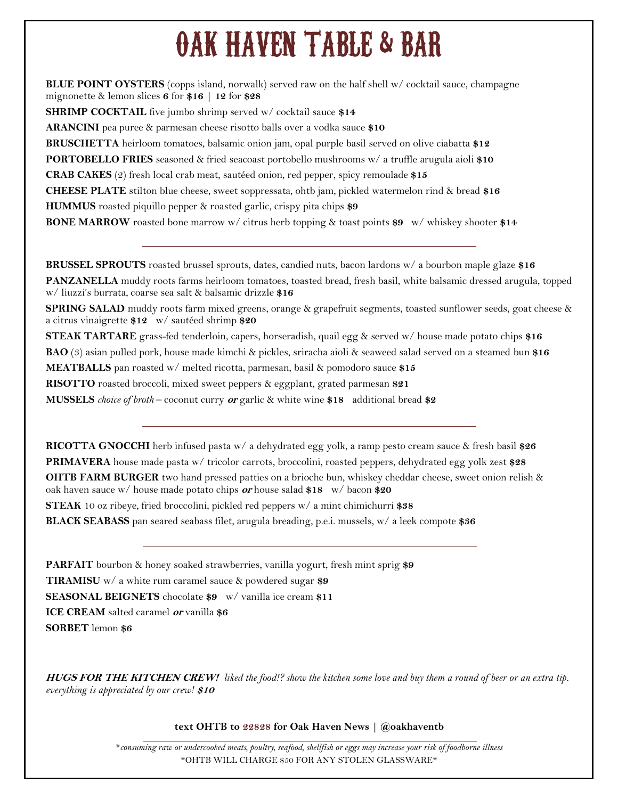# OAK HAVEN TABLE & BAR

**BLUE POINT OYSTERS** (copps island, norwalk) served raw on the half shell w/ cocktail sauce, champagne mignonette & lemon slices **6** for **\$16 | 12** for **\$28**

**SHRIMP COCKTAIL** five jumbo shrimp served w/ cocktail sauce **\$14**

**ARANCINI** pea puree & parmesan cheese risotto balls over a vodka sauce **\$10**

**BRUSCHETTA** heirloom tomatoes, balsamic onion jam, opal purple basil served on olive ciabatta **\$12**

**PORTOBELLO FRIES** seasoned & fried seacoast portobello mushrooms w/ a truffle arugula aioli **\$10**

**CRAB CAKES** (2) fresh local crab meat, sautéed onion, red pepper, spicy remoulade **\$15**

**CHEESE PLATE** stilton blue cheese, sweet soppressata, ohtb jam, pickled watermelon rind & bread **\$16 HUMMUS** roasted piquillo pepper & roasted garlic, crispy pita chips **\$9**

**BONE MARROW** roasted bone marrow w/ citrus herb topping & toast points **\$9** w/ whiskey shooter **\$14**

**BRUSSEL SPROUTS** roasted brussel sprouts, dates, candied nuts, bacon lardons w/ a bourbon maple glaze **\$16 PANZANELLA** muddy roots farms heirloom tomatoes, toasted bread, fresh basil, white balsamic dressed arugula, topped w/ liuzzi's burrata, coarse sea salt & balsamic drizzle **\$16**

**SPRING SALAD** muddy roots farm mixed greens, orange & grapefruit segments, toasted sunflower seeds, goat cheese & a citrus vinaigrette **\$12** w/ sautéed shrimp **\$20**

**STEAK TARTARE** grass-fed tenderloin, capers, horseradish, quail egg & served w/ house made potato chips **\$16 BAO** (3) asian pulled pork, house made kimchi & pickles, sriracha aioli & seaweed salad served on a steamed bun **\$16 MEATBALLS** pan roasted w/ melted ricotta, parmesan, basil & pomodoro sauce **\$15**

**RISOTTO** roasted broccoli, mixed sweet peppers & eggplant, grated parmesan **\$21**

**MUSSELS** *choice of broth* – coconut curry **or** garlic & white wine **\$18** additional bread **\$2**

**RICOTTA GNOCCHI** herb infused pasta w/ a dehydrated egg yolk, a ramp pesto cream sauce & fresh basil **\$26 PRIMAVERA** house made pasta w/ tricolor carrots, broccolini, roasted peppers, dehydrated egg yolk zest **\$28**

**OHTB FARM BURGER** two hand pressed patties on a brioche bun, whiskey cheddar cheese, sweet onion relish & oak haven sauce w/ house made potato chips **or** house salad **\$18** w/ bacon **\$20**

**STEAK** 10 oz ribeye, fried broccolini, pickled red peppers w/ a mint chimichurri **\$38**

**BLACK SEABASS** pan seared seabass filet, arugula breading, p.e.i. mussels, w/ a leek compote **\$36**

**PARFAIT** bourbon & honey soaked strawberries, vanilla yogurt, fresh mint sprig **\$9**

**TIRAMISU** w/ a white rum caramel sauce & powdered sugar **\$9**

**SEASONAL BEIGNETS** chocolate **\$9** w/ vanilla ice cream **\$11**

**ICE CREAM** salted caramel **or** vanilla **\$6**

**SORBET** lemon **\$6**

**HUGS FOR THE KITCHEN CREW!** *liked the food!? show the kitchen some love and buy them a round of beer or an extra tip. everything is appreciated by our crew!* **\$10**

**text OHTB to 22828 for Oak Haven News | @oakhaventb**

\**consuming raw or undercooked meats, poultry, seafood, shellfish or eggs may increase your risk of foodborne illness* \*OHTB WILL CHARGE \$50 FOR ANY STOLEN GLASSWARE\*